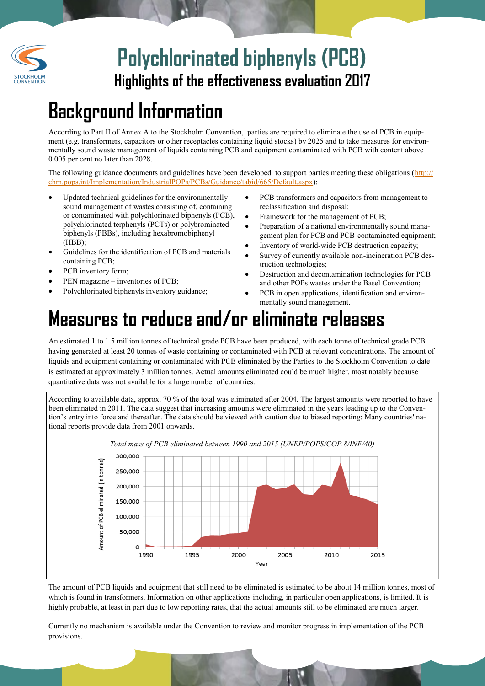

### **Highlights of the effectiveness evaluation 2017 Polychlorinated biphenyls (PCB)**

# **Background Information**

According to Part II of Annex A to the Stockholm Convention, parties are required to eliminate the use of PCB in equipment (e.g. transformers, capacitors or other receptacles containing liquid stocks) by 2025 and to take measures for environmentally sound waste management of liquids containing PCB and equipment contaminated with PCB with content above 0.005 per cent no later than 2028.

The following guidance documents and guidelines have been developed to support parties meeting these obligations ([http://](http://chm.pops.int/Implementation/IndustrialPOPs/PCBs/Guidance/tabid/665/Default.aspx) [chm.pops.int/Implementation/IndustrialPOPs/PCBs/Guidance/tabid/665/Default.aspx\):](http://chm.pops.int/Implementation/IndustrialPOPs/PCBs/Guidance/tabid/665/Default.aspx)

- Updated technical guidelines for the environmentally sound management of wastes consisting of, containing or contaminated with polychlorinated biphenyls (PCB), polychlorinated terphenyls (PCTs) or polybrominated biphenyls (PBBs), including hexabromobiphenyl  $(HBB);$
- Guidelines for the identification of PCB and materials containing PCB;
- PCB inventory form;
- PEN magazine inventories of PCB;
- Polychlorinated biphenyls inventory guidance;
- PCB transformers and capacitors from management to reclassification and disposal;
- Framework for the management of PCB;
- Preparation of a national environmentally sound management plan for PCB and PCB-contaminated equipment;
- Inventory of world-wide PCB destruction capacity;
- Survey of currently available non-incineration PCB destruction technologies;
- Destruction and decontamination technologies for PCB and other POPs wastes under the Basel Convention;
- PCB in open applications, identification and environmentally sound management.

## **Measures to reduce and/or eliminate releases**

An estimated 1 to 1.5 million tonnes of technical grade PCB have been produced, with each tonne of technical grade PCB having generated at least 20 tonnes of waste containing or contaminated with PCB at relevant concentrations. The amount of liquids and equipment containing or contaminated with PCB eliminated by the Parties to the Stockholm Convention to date is estimated at approximately 3 million tonnes. Actual amounts eliminated could be much higher, most notably because quantitative data was not available for a large number of countries.

According to available data, approx. 70 % of the total was eliminated after 2004. The largest amounts were reported to have been eliminated in 2011. The data suggest that increasing amounts were eliminated in the years leading up to the Convention's entry into force and thereafter. The data should be viewed with caution due to biased reporting: Many countries' national reports provide data from 2001 onwards.



The amount of PCB liquids and equipment that still need to be eliminated is estimated to be about 14 million tonnes, most of which is found in transformers. Information on other applications including, in particular open applications, is limited. It is highly probable, at least in part due to low reporting rates, that the actual amounts still to be eliminated are much larger.

Currently no mechanism is available under the Convention to review and monitor progress in implementation of the PCB provisions.